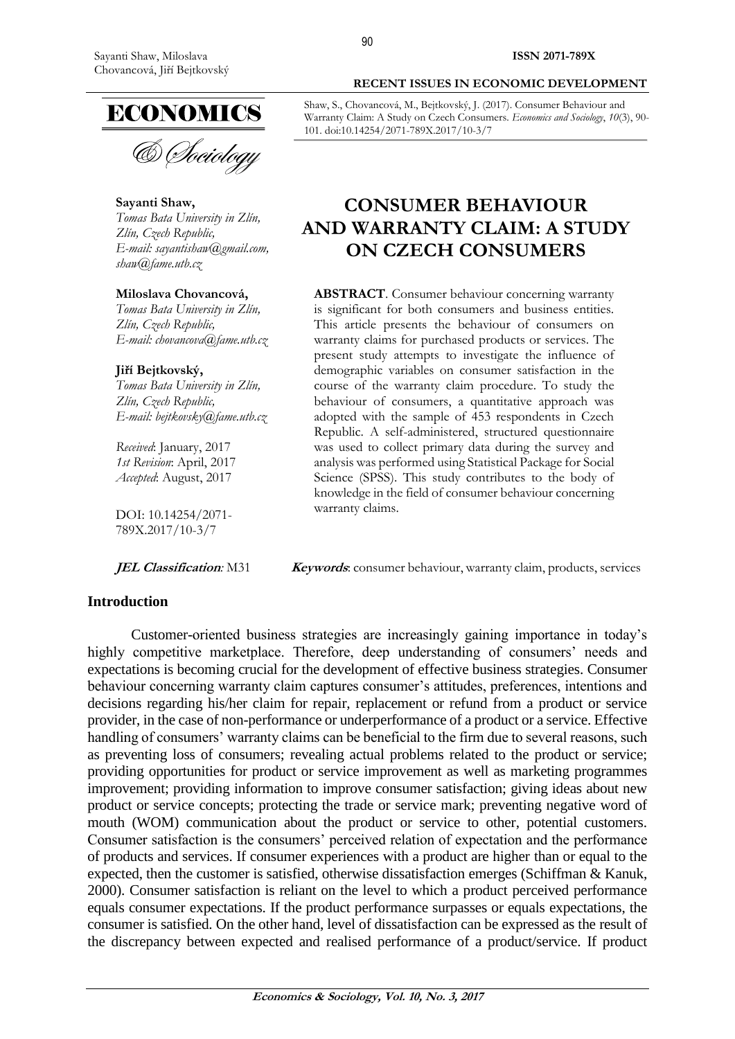

& *Dociology* 

**Sayanti Shaw,** *Tomas Bata University in Zlín, Zlín, Czech Republic, E-mail: [sayantishaw@gmail.com,](mailto:sayantishaw@gmail.com,) [shaw@fame.utb.cz](mailto:shaw@fame.utb.cz)*

#### **Miloslava Chovancová,**

*Tomas Bata University in Zlín, Zlín, Czech Republic, E-mail: [chovancova@fame.utb.cz](mailto:chovancova@fame.utb.cz)*

#### **Jiří Bejtkovský,**

*Tomas Bata University in Zlín, Zlín, Czech Republic, E-mail: [bejtkovsky@fame.utb.cz](mailto:bejtkovsky@fame.utb.cz)*

*Received*: January, 2017 *1st Revision*: April, 2017 *Accepted*: August, 2017

DOI: 10.14254/2071- 789X.2017/10-3/7

#### **Introduction**

#### **RECENT ISSUES IN ECONOMIC DEVELOPMENT**

Shaw, S., Chovancová, M., Bejtkovský, J. (2017). Consumer Behaviour and Warranty Claim: A Study on Czech Consumers. *Economics and Sociology*, *10*(3), 90- 101. doi:10.14254/2071-789X.2017/10-3/7

# **CONSUMER BEHAVIOUR AND WARRANTY CLAIM: A STUDY ON CZECH CONSUMERS**

**ABSTRACT**. Consumer behaviour concerning warranty is significant for both consumers and business entities. This article presents the behaviour of consumers on warranty claims for purchased products or services. The present study attempts to investigate the influence of demographic variables on consumer satisfaction in the course of the warranty claim procedure. To study the behaviour of consumers, a quantitative approach was adopted with the sample of 453 respondents in Czech Republic. A self-administered, structured questionnaire was used to collect primary data during the survey and analysis was performed using Statistical Package for Social Science (SPSS). This study contributes to the body of knowledge in the field of consumer behaviour concerning warranty claims.

**JEL Classification**: M31 **Keywords**: consumer behaviour, warranty claim, products, services

Customer-oriented business strategies are increasingly gaining importance in today's highly competitive marketplace. Therefore, deep understanding of consumers' needs and expectations is becoming crucial for the development of effective business strategies. Consumer behaviour concerning warranty claim captures consumer's attitudes, preferences, intentions and decisions regarding his/her claim for repair, replacement or refund from a product or service provider, in the case of non-performance or underperformance of a product or a service. Effective handling of consumers' warranty claims can be beneficial to the firm due to several reasons, such as preventing loss of consumers; revealing actual problems related to the product or service; providing opportunities for product or service improvement as well as marketing programmes improvement; providing information to improve consumer satisfaction; giving ideas about new product or service concepts; protecting the trade or service mark; preventing negative word of mouth (WOM) communication about the product or service to other, potential customers. Consumer satisfaction is the consumers' perceived relation of expectation and the performance of products and services. If consumer experiences with a product are higher than or equal to the expected, then the customer is satisfied, otherwise dissatisfaction emerges (Schiffman & Kanuk, 2000). Consumer satisfaction is reliant on the level to which a product perceived performance equals consumer expectations. If the product performance surpasses or equals expectations, the consumer is satisfied. On the other hand, level of dissatisfaction can be expressed as the result of the discrepancy between expected and realised performance of a product/service. If product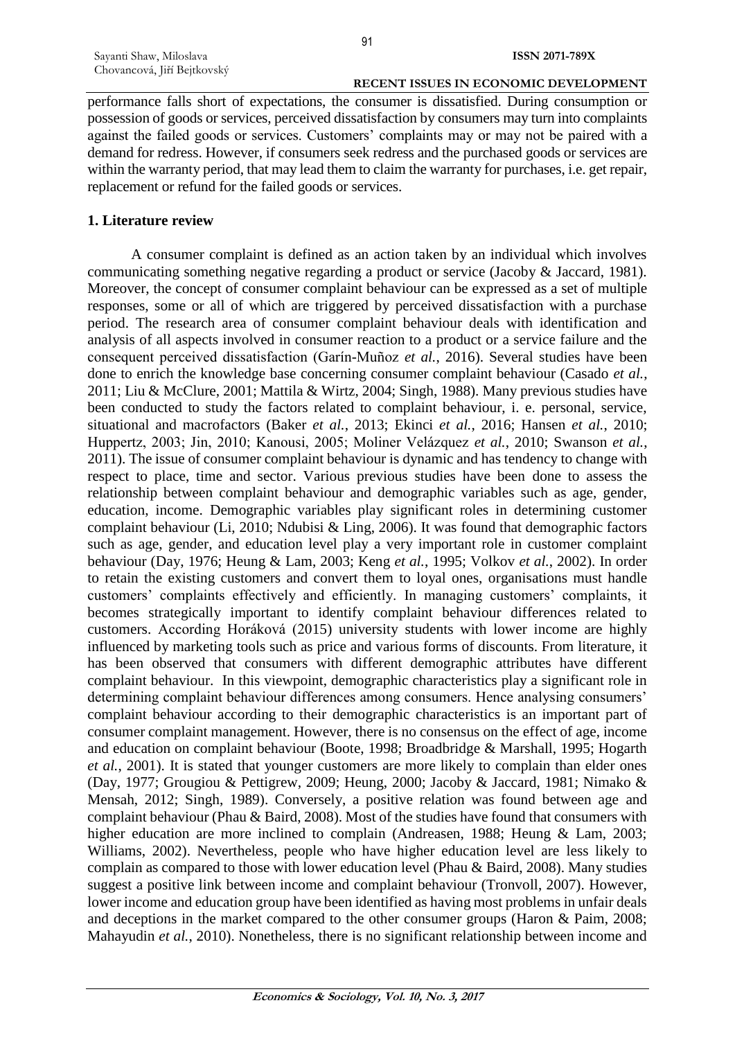performance falls short of expectations, the consumer is dissatisfied. During consumption or possession of goods or services, perceived dissatisfaction by consumers may turn into complaints against the failed goods or services. Customers' complaints may or may not be paired with a demand for redress. However, if consumers seek redress and the purchased goods or services are within the warranty period, that may lead them to claim the warranty for purchases, i.e. get repair, replacement or refund for the failed goods or services.

#### **1. Literature review**

A consumer complaint is defined as an action taken by an individual which involves communicating something negative regarding a product or service (Jacoby & Jaccard, 1981). Moreover, the concept of consumer complaint behaviour can be expressed as a set of multiple responses, some or all of which are triggered by perceived dissatisfaction with a purchase period. The research area of consumer complaint behaviour deals with identification and analysis of all aspects involved in consumer reaction to a product or a service failure and the consequent perceived dissatisfaction (Garín-Muñoz *et al.*, 2016). Several studies have been done to enrich the knowledge base concerning consumer complaint behaviour (Casado *et al.*, 2011; Liu & McClure, 2001; Mattila & Wirtz, 2004; Singh, 1988). Many previous studies have been conducted to study the factors related to complaint behaviour, i. e. personal, service, situational and macrofactors (Baker *et al.*, 2013; Ekinci *et al.*, 2016; Hansen *et al.*, 2010; Huppertz, 2003; Jin, 2010; Kanousi, 2005; Moliner Velázquez *et al.*, 2010; Swanson *et al.*, 2011). The issue of consumer complaint behaviour is dynamic and has tendency to change with respect to place, time and sector. Various previous studies have been done to assess the relationship between complaint behaviour and demographic variables such as age, gender, education, income. Demographic variables play significant roles in determining customer complaint behaviour (Li, 2010; Ndubisi & Ling, 2006). It was found that demographic factors such as age, gender, and education level play a very important role in customer complaint behaviour (Day, 1976; Heung & Lam, 2003; Keng *et al.*, 1995; Volkov *et al.*, 2002). In order to retain the existing customers and convert them to loyal ones, organisations must handle customers' complaints effectively and efficiently. In managing customers' complaints, it becomes strategically important to identify complaint behaviour differences related to customers. According Horáková (2015) university students with lower income are highly influenced by marketing tools such as price and various forms of discounts. From literature, it has been observed that consumers with different demographic attributes have different complaint behaviour. In this viewpoint, demographic characteristics play a significant role in determining complaint behaviour differences among consumers. Hence analysing consumers' complaint behaviour according to their demographic characteristics is an important part of consumer complaint management. However, there is no consensus on the effect of age, income and education on complaint behaviour (Boote, 1998; Broadbridge & Marshall, 1995; Hogarth *et al.*, 2001). It is stated that younger customers are more likely to complain than elder ones (Day, 1977; Grougiou & Pettigrew, 2009; Heung, 2000; Jacoby & Jaccard, 1981; Nimako & Mensah, 2012; Singh, 1989). Conversely, a positive relation was found between age and complaint behaviour (Phau & Baird, 2008). Most of the studies have found that consumers with higher education are more inclined to complain (Andreasen, 1988; Heung & Lam, 2003; Williams, 2002). Nevertheless, people who have higher education level are less likely to complain as compared to those with lower education level (Phau & Baird, 2008). Many studies suggest a positive link between income and complaint behaviour (Tronvoll, 2007). However, lower income and education group have been identified as having most problems in unfair deals and deceptions in the market compared to the other consumer groups (Haron & Paim, 2008; Mahayudin *et al.*, 2010). Nonetheless, there is no significant relationship between income and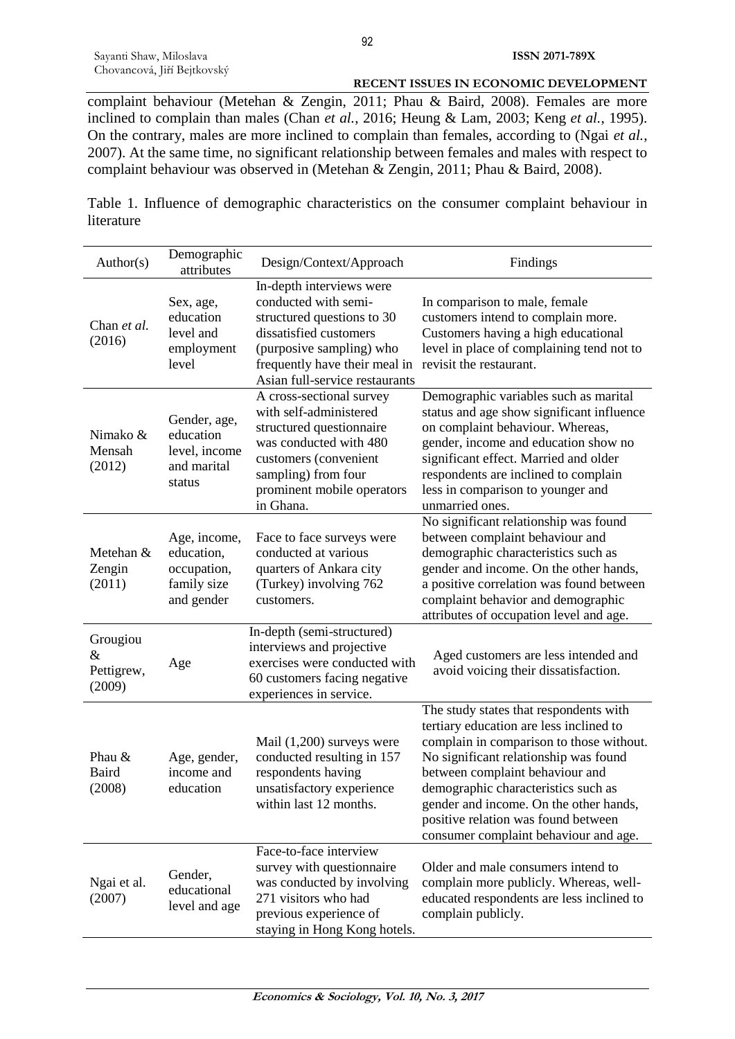complaint behaviour (Metehan & Zengin, 2011; Phau & Baird, 2008). Females are more inclined to complain than males (Chan *et al.*, 2016; Heung & Lam, 2003; Keng *et al.*, 1995). On the contrary, males are more inclined to complain than females, according to (Ngai *et al.*, 2007). At the same time, no significant relationship between females and males with respect to complaint behaviour was observed in (Metehan & Zengin, 2011; Phau & Baird, 2008).

Table 1. Influence of demographic characteristics on the consumer complaint behaviour in literature

| Author(s)                                | Demographic<br>attributes                                              | Design/Context/Approach                                                                                                                                                                                 | Findings                                                                                                                                                                                                                                                                                                                                                                   |
|------------------------------------------|------------------------------------------------------------------------|---------------------------------------------------------------------------------------------------------------------------------------------------------------------------------------------------------|----------------------------------------------------------------------------------------------------------------------------------------------------------------------------------------------------------------------------------------------------------------------------------------------------------------------------------------------------------------------------|
| Chan et al.<br>(2016)                    | Sex, age,<br>education<br>level and<br>employment<br>level             | In-depth interviews were<br>conducted with semi-<br>structured questions to 30<br>dissatisfied customers<br>(purposive sampling) who<br>frequently have their meal in<br>Asian full-service restaurants | In comparison to male, female<br>customers intend to complain more.<br>Customers having a high educational<br>level in place of complaining tend not to<br>revisit the restaurant.                                                                                                                                                                                         |
| Nimako &<br>Mensah<br>(2012)             | Gender, age,<br>education<br>level, income<br>and marital<br>status    | A cross-sectional survey<br>with self-administered<br>structured questionnaire<br>was conducted with 480<br>customers (convenient<br>sampling) from four<br>prominent mobile operators<br>in Ghana.     | Demographic variables such as marital<br>status and age show significant influence<br>on complaint behaviour. Whereas,<br>gender, income and education show no<br>significant effect. Married and older<br>respondents are inclined to complain<br>less in comparison to younger and<br>unmarried ones.                                                                    |
| Metehan &<br>Zengin<br>(2011)            | Age, income,<br>education,<br>occupation,<br>family size<br>and gender | Face to face surveys were<br>conducted at various<br>quarters of Ankara city<br>(Turkey) involving 762<br>customers.                                                                                    | No significant relationship was found<br>between complaint behaviour and<br>demographic characteristics such as<br>gender and income. On the other hands,<br>a positive correlation was found between<br>complaint behavior and demographic<br>attributes of occupation level and age.                                                                                     |
| Grougiou<br>$\&$<br>Pettigrew,<br>(2009) | Age                                                                    | In-depth (semi-structured)<br>interviews and projective<br>exercises were conducted with<br>60 customers facing negative<br>experiences in service.                                                     | Aged customers are less intended and<br>avoid voicing their dissatisfaction.                                                                                                                                                                                                                                                                                               |
| Phau &<br>Baird<br>(2008)                | Age, gender,<br>income and<br>education                                | Mail $(1,200)$ surveys were<br>conducted resulting in 157<br>respondents having<br>unsatisfactory experience<br>within last 12 months.                                                                  | The study states that respondents with<br>tertiary education are less inclined to<br>complain in comparison to those without.<br>No significant relationship was found<br>between complaint behaviour and<br>demographic characteristics such as<br>gender and income. On the other hands,<br>positive relation was found between<br>consumer complaint behaviour and age. |
| Ngai et al.<br>(2007)                    | Gender,<br>educational<br>level and age                                | Face-to-face interview<br>survey with questionnaire<br>was conducted by involving<br>271 visitors who had<br>previous experience of<br>staying in Hong Kong hotels.                                     | Older and male consumers intend to<br>complain more publicly. Whereas, well-<br>educated respondents are less inclined to<br>complain publicly.                                                                                                                                                                                                                            |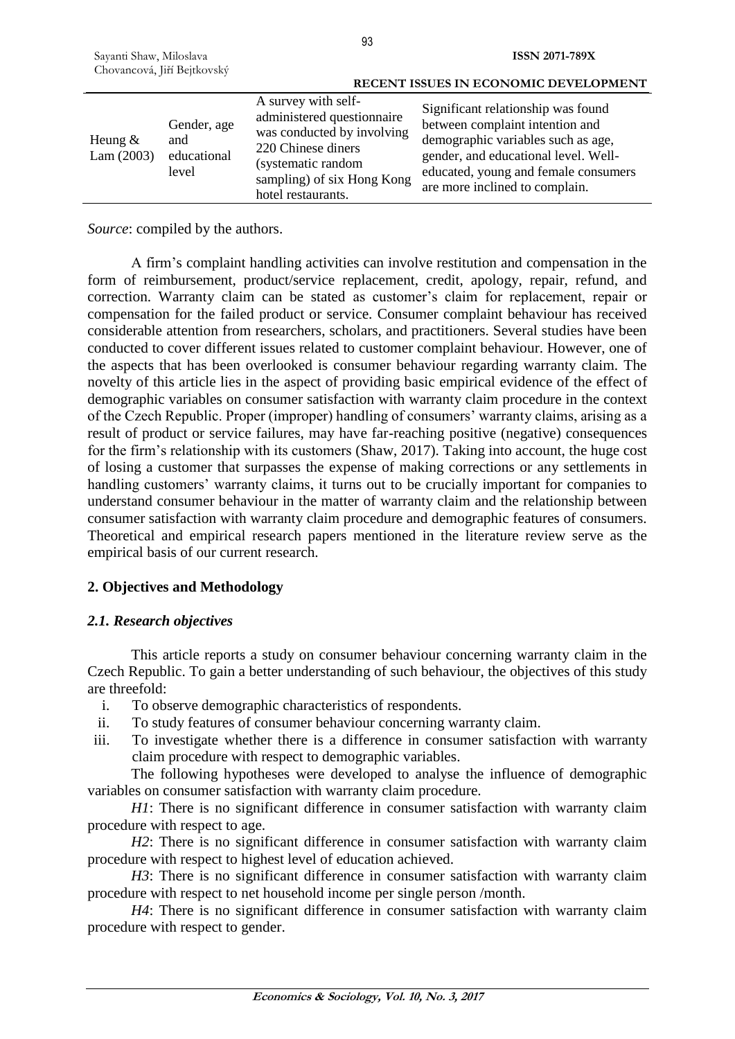|                         |                                            |                                                                                                                                                                                 | RECENT ISSUES IN ECONOMIC DEVELOPMENT                                                                                                                                                                                         |
|-------------------------|--------------------------------------------|---------------------------------------------------------------------------------------------------------------------------------------------------------------------------------|-------------------------------------------------------------------------------------------------------------------------------------------------------------------------------------------------------------------------------|
| Heung $&$<br>Lam (2003) | Gender, age<br>and<br>educational<br>level | A survey with self-<br>administered questionnaire<br>was conducted by involving<br>220 Chinese diners<br>(systematic random<br>sampling) of six Hong Kong<br>hotel restaurants. | Significant relationship was found<br>between complaint intention and<br>demographic variables such as age,<br>gender, and educational level. Well-<br>educated, young and female consumers<br>are more inclined to complain. |

*Source*: compiled by the authors.

A firm's complaint handling activities can involve restitution and compensation in the form of reimbursement, product/service replacement, credit, apology, repair, refund, and correction. Warranty claim can be stated as customer's claim for replacement, repair or compensation for the failed product or service. Consumer complaint behaviour has received considerable attention from researchers, scholars, and practitioners. Several studies have been conducted to cover different issues related to customer complaint behaviour. However, one of the aspects that has been overlooked is consumer behaviour regarding warranty claim. The novelty of this article lies in the aspect of providing basic empirical evidence of the effect of demographic variables on consumer satisfaction with warranty claim procedure in the context of the Czech Republic. Proper (improper) handling of consumers' warranty claims, arising as a result of product or service failures, may have far-reaching positive (negative) consequences for the firm's relationship with its customers (Shaw, 2017). Taking into account, the huge cost of losing a customer that surpasses the expense of making corrections or any settlements in handling customers' warranty claims, it turns out to be crucially important for companies to understand consumer behaviour in the matter of warranty claim and the relationship between consumer satisfaction with warranty claim procedure and demographic features of consumers. Theoretical and empirical research papers mentioned in the literature review serve as the empirical basis of our current research.

# **2. Objectives and Methodology**

### *2.1. Research objectives*

This article reports a study on consumer behaviour concerning warranty claim in the Czech Republic. To gain a better understanding of such behaviour, the objectives of this study are threefold:

- i. To observe demographic characteristics of respondents.
- ii. To study features of consumer behaviour concerning warranty claim.
- iii. To investigate whether there is a difference in consumer satisfaction with warranty claim procedure with respect to demographic variables.

The following hypotheses were developed to analyse the influence of demographic variables on consumer satisfaction with warranty claim procedure.

*H1*: There is no significant difference in consumer satisfaction with warranty claim procedure with respect to age.

*H2*: There is no significant difference in consumer satisfaction with warranty claim procedure with respect to highest level of education achieved.

*H3*: There is no significant difference in consumer satisfaction with warranty claim procedure with respect to net household income per single person /month.

*H4*: There is no significant difference in consumer satisfaction with warranty claim procedure with respect to gender.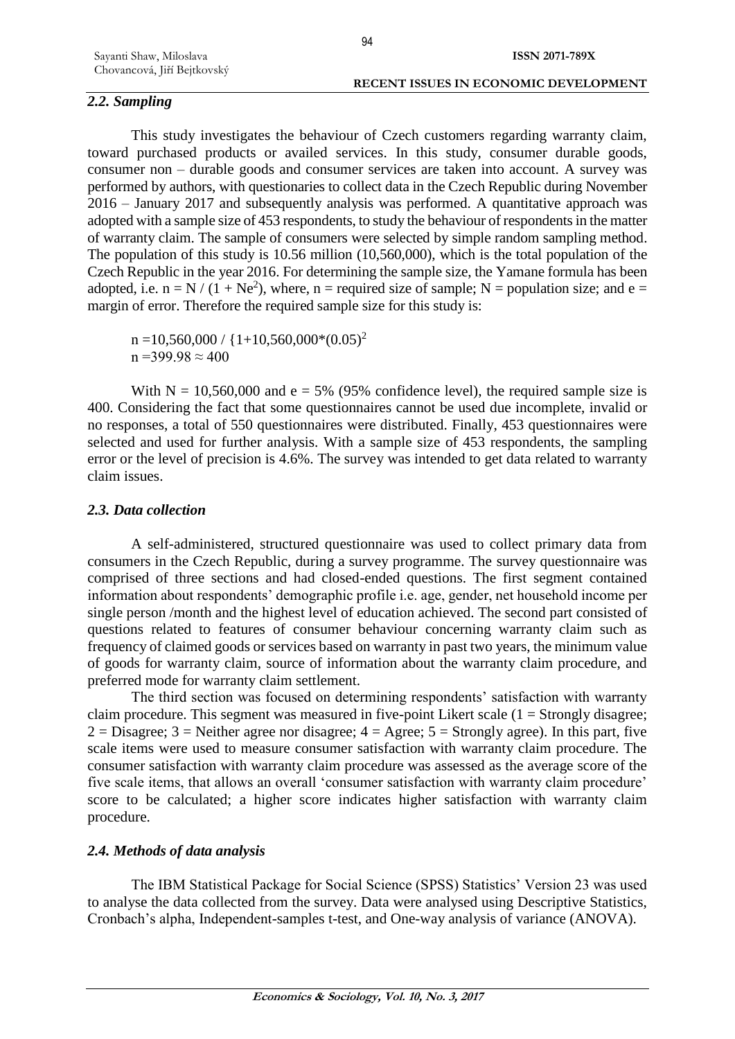# *2.2. Sampling*

This study investigates the behaviour of Czech customers regarding warranty claim, toward purchased products or availed services. In this study, consumer durable goods, consumer non – durable goods and consumer services are taken into account. A survey was performed by authors, with questionaries to collect data in the Czech Republic during November 2016 – January 2017 and subsequently analysis was performed. A quantitative approach was adopted with a sample size of 453 respondents, to study the behaviour of respondents in the matter of warranty claim. The sample of consumers were selected by simple random sampling method. The population of this study is 10.56 million (10,560,000), which is the total population of the Czech Republic in the year 2016. For determining the sample size, the Yamane formula has been adopted, i.e.  $n = N / (1 + Ne^2)$ , where,  $n =$  required size of sample; N = population size; and e = margin of error. Therefore the required sample size for this study is:

 $n = 10,560,000 / {1+10,560,000*(0.05)^2}$  $n = 399.98 \approx 400$ 

With  $N = 10,560,000$  and  $e = 5\%$  (95% confidence level), the required sample size is 400. Considering the fact that some questionnaires cannot be used due incomplete, invalid or no responses, a total of 550 questionnaires were distributed. Finally, 453 questionnaires were selected and used for further analysis. With a sample size of 453 respondents, the sampling error or the level of precision is 4.6%. The survey was intended to get data related to warranty claim issues.

### *2.3. Data collection*

A self-administered, structured questionnaire was used to collect primary data from consumers in the Czech Republic, during a survey programme. The survey questionnaire was comprised of three sections and had closed-ended questions. The first segment contained information about respondents' demographic profile i.e. age, gender, net household income per single person /month and the highest level of education achieved. The second part consisted of questions related to features of consumer behaviour concerning warranty claim such as frequency of claimed goods or services based on warranty in past two years, the minimum value of goods for warranty claim, source of information about the warranty claim procedure, and preferred mode for warranty claim settlement.

The third section was focused on determining respondents' satisfaction with warranty claim procedure. This segment was measured in five-point Likert scale  $(1 = \text{Strongly disagree})$ ;  $2 = Disagree$ ;  $3 = Neither agree nor disagree$ ;  $4 = Agree$ ;  $5 = Strongly agree$ ). In this part, five scale items were used to measure consumer satisfaction with warranty claim procedure. The consumer satisfaction with warranty claim procedure was assessed as the average score of the five scale items, that allows an overall 'consumer satisfaction with warranty claim procedure' score to be calculated; a higher score indicates higher satisfaction with warranty claim procedure.

### *2.4. Methods of data analysis*

The IBM Statistical Package for Social Science (SPSS) Statistics' Version 23 was used to analyse the data collected from the survey. Data were analysed using Descriptive Statistics, Cronbach's alpha, Independent-samples t-test, and One-way analysis of variance (ANOVA).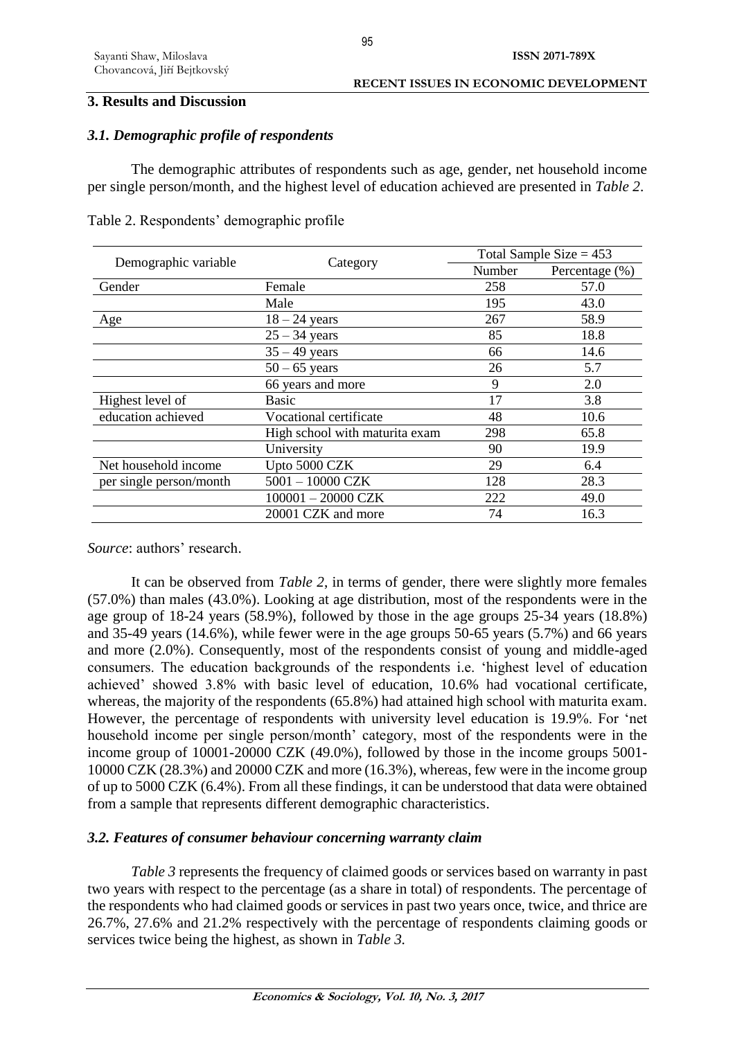### **3. Results and Discussion**

# *3.1. Demographic profile of respondents*

The demographic attributes of respondents such as age, gender, net household income per single person/month, and the highest level of education achieved are presented in *Table 2*.

|                         |                                | Total Sample Size $= 453$ |                |
|-------------------------|--------------------------------|---------------------------|----------------|
| Demographic variable    | Category                       | Number                    | Percentage (%) |
| Gender                  | Female                         | 258                       | 57.0           |
|                         | Male                           | 195                       | 43.0           |
| Age                     | $18 - 24$ years                | 267                       | 58.9           |
|                         | $25 - 34$ years                | 85                        | 18.8           |
|                         | $35 - 49$ years                | 66                        | 14.6           |
|                         | $50 - 65$ years                | 26                        | 5.7            |
|                         | 66 years and more              | 9                         | 2.0            |
| Highest level of        | Basic                          | 17                        | 3.8            |
| education achieved      | Vocational certificate         | 48                        | 10.6           |
|                         | High school with maturita exam | 298                       | 65.8           |
|                         | University                     | 90                        | 19.9           |
| Net household income    | Upto 5000 CZK                  | 29                        | 6.4            |
| per single person/month | $5001 - 10000$ CZK             | 128                       | 28.3           |
|                         | $100001 - 20000$ CZK           | 222                       | 49.0           |
|                         | 20001 CZK and more             | 74                        | 16.3           |

Table 2. Respondents' demographic profile

*Source*: authors' research.

It can be observed from *Table 2*, in terms of gender, there were slightly more females (57.0%) than males (43.0%). Looking at age distribution, most of the respondents were in the age group of 18-24 years (58.9%), followed by those in the age groups 25-34 years (18.8%) and 35-49 years (14.6%), while fewer were in the age groups 50-65 years (5.7%) and 66 years and more (2.0%). Consequently, most of the respondents consist of young and middle-aged consumers. The education backgrounds of the respondents i.e. 'highest level of education achieved' showed 3.8% with basic level of education, 10.6% had vocational certificate, whereas, the majority of the respondents (65.8%) had attained high school with maturita exam. However, the percentage of respondents with university level education is 19.9%. For 'net household income per single person/month' category, most of the respondents were in the income group of 10001-20000 CZK (49.0%), followed by those in the income groups 5001- 10000 CZK (28.3%) and 20000 CZK and more (16.3%), whereas, few were in the income group of up to 5000 CZK (6.4%). From all these findings, it can be understood that data were obtained from a sample that represents different demographic characteristics.

# *3.2. Features of consumer behaviour concerning warranty claim*

*Table 3* represents the frequency of claimed goods or services based on warranty in past two years with respect to the percentage (as a share in total) of respondents. The percentage of the respondents who had claimed goods or services in past two years once, twice, and thrice are 26.7%, 27.6% and 21.2% respectively with the percentage of respondents claiming goods or services twice being the highest, as shown in *Table 3.*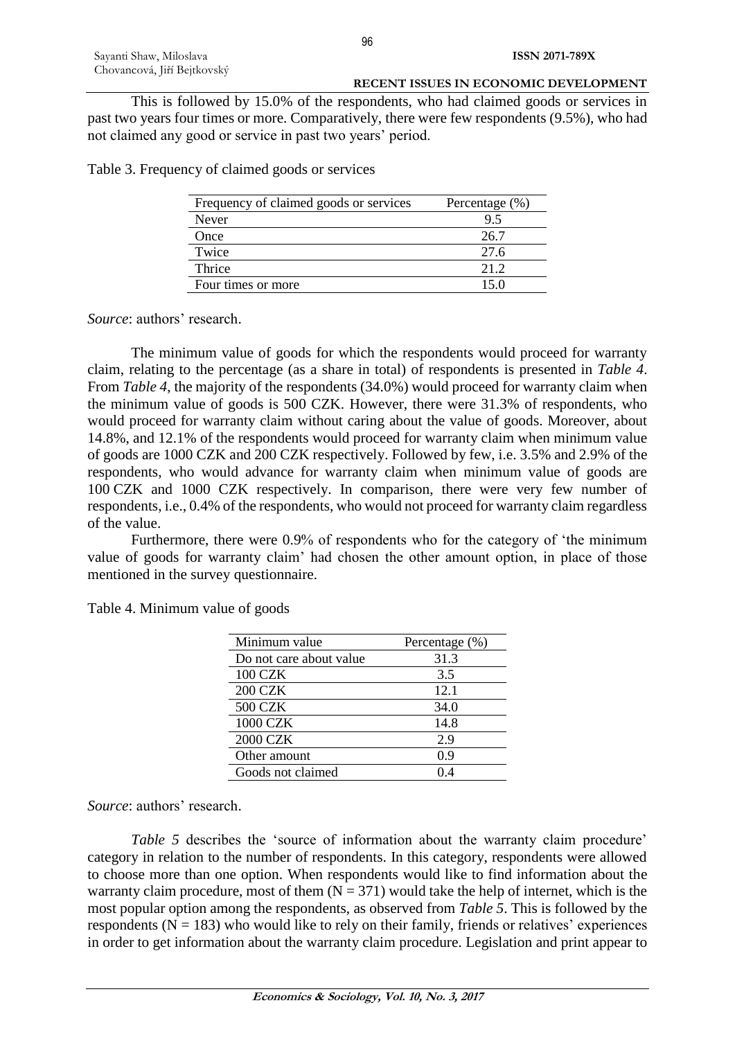This is followed by 15.0% of the respondents, who had claimed goods or services in past two years four times or more. Comparatively, there were few respondents (9.5%), who had not claimed any good or service in past two years' period.

Table 3. Frequency of claimed goods or services

| Frequency of claimed goods or services | Percentage $(\% )$ |
|----------------------------------------|--------------------|
| Never                                  | 9.5                |
| Once                                   | 26.7               |
| Twice                                  | 27.6               |
| Thrice                                 | 21 2               |
| Four times or more                     | 15 0               |

*Source*: authors' research.

The minimum value of goods for which the respondents would proceed for warranty claim, relating to the percentage (as a share in total) of respondents is presented in *Table 4*. From *Table 4*, the majority of the respondents (34.0%) would proceed for warranty claim when the minimum value of goods is 500 CZK. However, there were 31.3% of respondents, who would proceed for warranty claim without caring about the value of goods. Moreover, about 14.8%, and 12.1% of the respondents would proceed for warranty claim when minimum value of goods are 1000 CZK and 200 CZK respectively. Followed by few, i.e. 3.5% and 2.9% of the respondents, who would advance for warranty claim when minimum value of goods are 100 CZK and 1000 CZK respectively. In comparison, there were very few number of respondents, i.e., 0.4% of the respondents, who would not proceed for warranty claim regardless of the value.

Furthermore, there were 0.9% of respondents who for the category of 'the minimum value of goods for warranty claim' had chosen the other amount option, in place of those mentioned in the survey questionnaire.

| Minimum value           | Percentage (%) |
|-------------------------|----------------|
| Do not care about value | 31.3           |
| <b>100 CZK</b>          | 3.5            |
| <b>200 CZK</b>          | 12.1           |
| <b>500 CZK</b>          | 34.0           |
| 1000 CZK                | 14.8           |
| <b>2000 CZK</b>         | 2.9            |
| Other amount            | 0.9            |
| Goods not claimed       |                |

Table 4. Minimum value of goods

*Source*: authors' research.

*Table 5* describes the 'source of information about the warranty claim procedure' category in relation to the number of respondents. In this category, respondents were allowed to choose more than one option. When respondents would like to find information about the warranty claim procedure, most of them  $(N = 371)$  would take the help of internet, which is the most popular option among the respondents, as observed from *Table 5*. This is followed by the respondents ( $N = 183$ ) who would like to rely on their family, friends or relatives' experiences in order to get information about the warranty claim procedure. Legislation and print appear to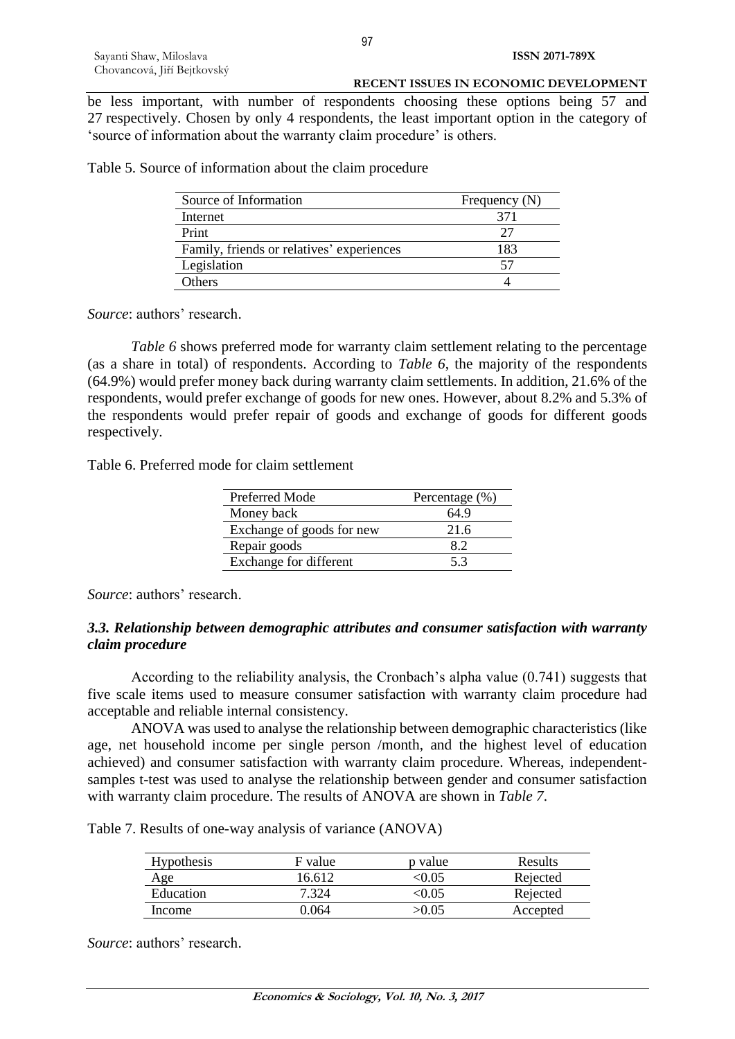be less important, with number of respondents choosing these options being 57 and 27 respectively. Chosen by only 4 respondents, the least important option in the category of 'source of information about the warranty claim procedure' is others.

Table 5. Source of information about the claim procedure

| Source of Information                     | Frequency $(N)$ |
|-------------------------------------------|-----------------|
| Internet                                  | 371             |
| Print                                     | 27              |
| Family, friends or relatives' experiences | 183             |
| Legislation                               |                 |
| Others                                    |                 |

*Source*: authors' research.

*Table 6* shows preferred mode for warranty claim settlement relating to the percentage (as a share in total) of respondents. According to *Table 6*, the majority of the respondents (64.9%) would prefer money back during warranty claim settlements. In addition, 21.6% of the respondents, would prefer exchange of goods for new ones. However, about 8.2% and 5.3% of the respondents would prefer repair of goods and exchange of goods for different goods respectively.

Table 6. Preferred mode for claim settlement

| Preferred Mode            | Percentage (%) |
|---------------------------|----------------|
| Money back                | 64.9           |
| Exchange of goods for new | 21.6           |
| Repair goods              | 89             |
| Exchange for different    | 53             |

*Source*: authors' research.

### *3.3. Relationship between demographic attributes and consumer satisfaction with warranty claim procedure*

According to the reliability analysis, the Cronbach's alpha value (0.741) suggests that five scale items used to measure consumer satisfaction with warranty claim procedure had acceptable and reliable internal consistency.

ANOVA was used to analyse the relationship between demographic characteristics (like age, net household income per single person /month, and the highest level of education achieved) and consumer satisfaction with warranty claim procedure. Whereas, independentsamples t-test was used to analyse the relationship between gender and consumer satisfaction with warranty claim procedure. The results of ANOVA are shown in *Table 7*.

Table 7. Results of one-way analysis of variance (ANOVA)

| Hypothesis | F value | p value | Results  |
|------------|---------|---------|----------|
| Age        | 6.612   | ≤0.05   | Rejected |
| Education  |         | < 0.05  | Rejected |
| Income     | ) 064   | >0.05   | Accepted |

*Source*: authors' research.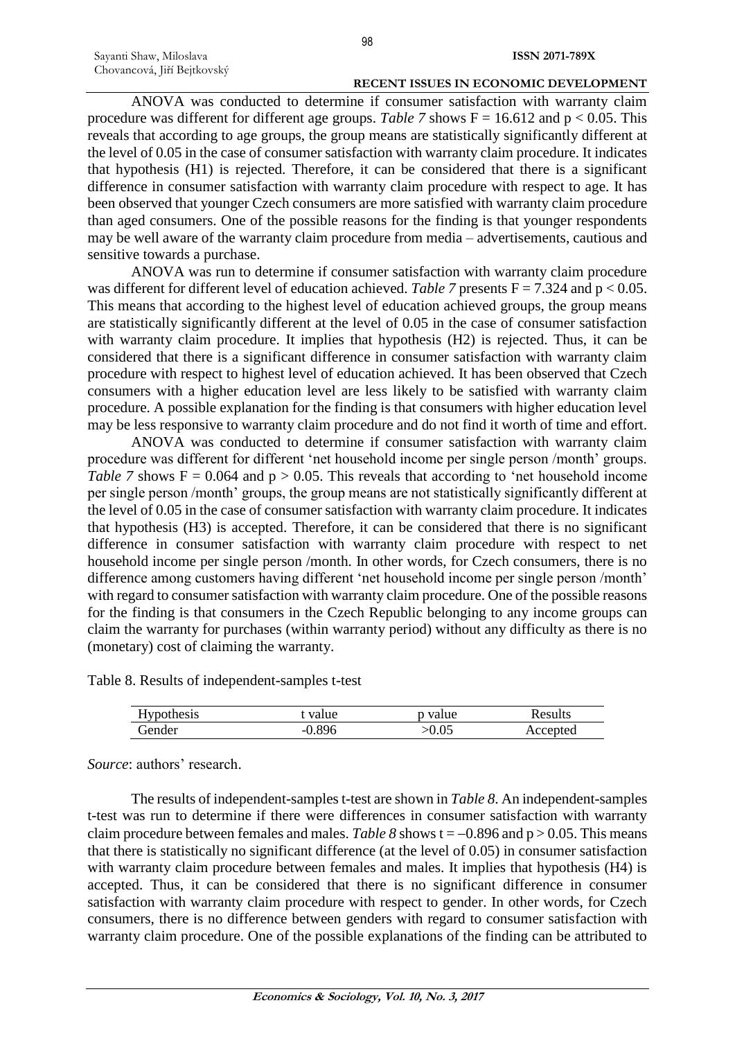ANOVA was conducted to determine if consumer satisfaction with warranty claim procedure was different for different age groups. *Table 7* shows  $F = 16.612$  and  $p < 0.05$ . This reveals that according to age groups, the group means are statistically significantly different at the level of 0.05 in the case of consumer satisfaction with warranty claim procedure. It indicates that hypothesis (H1) is rejected. Therefore, it can be considered that there is a significant difference in consumer satisfaction with warranty claim procedure with respect to age. It has been observed that younger Czech consumers are more satisfied with warranty claim procedure than aged consumers. One of the possible reasons for the finding is that younger respondents may be well aware of the warranty claim procedure from media – advertisements, cautious and sensitive towards a purchase.

ANOVA was run to determine if consumer satisfaction with warranty claim procedure was different for different level of education achieved. *Table 7* presents  $F = 7.324$  and  $p < 0.05$ . This means that according to the highest level of education achieved groups, the group means are statistically significantly different at the level of 0.05 in the case of consumer satisfaction with warranty claim procedure. It implies that hypothesis (H2) is rejected. Thus, it can be considered that there is a significant difference in consumer satisfaction with warranty claim procedure with respect to highest level of education achieved. It has been observed that Czech consumers with a higher education level are less likely to be satisfied with warranty claim procedure. A possible explanation for the finding is that consumers with higher education level may be less responsive to warranty claim procedure and do not find it worth of time and effort.

ANOVA was conducted to determine if consumer satisfaction with warranty claim procedure was different for different 'net household income per single person /month' groups. *Table 7* shows  $F = 0.064$  and  $p > 0.05$ . This reveals that according to 'net household income per single person /month' groups, the group means are not statistically significantly different at the level of 0.05 in the case of consumer satisfaction with warranty claim procedure. It indicates that hypothesis (H3) is accepted. Therefore, it can be considered that there is no significant difference in consumer satisfaction with warranty claim procedure with respect to net household income per single person /month. In other words, for Czech consumers, there is no difference among customers having different 'net household income per single person /month' with regard to consumer satisfaction with warranty claim procedure. One of the possible reasons for the finding is that consumers in the Czech Republic belonging to any income groups can claim the warranty for purchases (within warranty period) without any difficulty as there is no (monetary) cost of claiming the warranty.

Table 8. Results of independent-samples t-test

| Hypothesis | value | value | Results  |
|------------|-------|-------|----------|
| Gender     | ).896 | 0.05  | Accepted |

*Source*: authors' research.

The results of independent-samples t-test are shown in *Table 8*. An independent-samples t-test was run to determine if there were differences in consumer satisfaction with warranty claim procedure between females and males. *Table 8* shows  $t = -0.896$  and  $p > 0.05$ . This means that there is statistically no significant difference (at the level of 0.05) in consumer satisfaction with warranty claim procedure between females and males. It implies that hypothesis (H4) is accepted. Thus, it can be considered that there is no significant difference in consumer satisfaction with warranty claim procedure with respect to gender. In other words, for Czech consumers, there is no difference between genders with regard to consumer satisfaction with warranty claim procedure. One of the possible explanations of the finding can be attributed to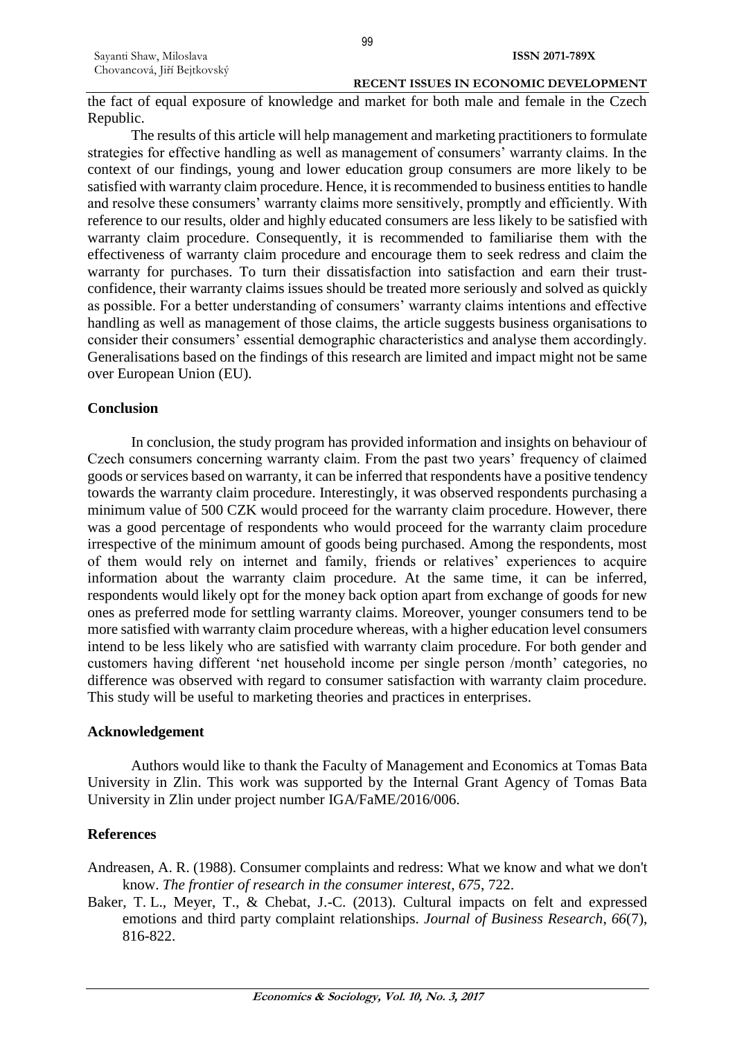the fact of equal exposure of knowledge and market for both male and female in the Czech Republic.

The results of this article will help management and marketing practitioners to formulate strategies for effective handling as well as management of consumers' warranty claims. In the context of our findings, young and lower education group consumers are more likely to be satisfied with warranty claim procedure. Hence, it is recommended to business entities to handle and resolve these consumers' warranty claims more sensitively, promptly and efficiently. With reference to our results, older and highly educated consumers are less likely to be satisfied with warranty claim procedure. Consequently, it is recommended to familiarise them with the effectiveness of warranty claim procedure and encourage them to seek redress and claim the warranty for purchases. To turn their dissatisfaction into satisfaction and earn their trustconfidence, their warranty claims issues should be treated more seriously and solved as quickly as possible. For a better understanding of consumers' warranty claims intentions and effective handling as well as management of those claims, the article suggests business organisations to consider their consumers' essential demographic characteristics and analyse them accordingly. Generalisations based on the findings of this research are limited and impact might not be same over European Union (EU).

#### **Conclusion**

In conclusion, the study program has provided information and insights on behaviour of Czech consumers concerning warranty claim. From the past two years' frequency of claimed goods or services based on warranty, it can be inferred that respondents have a positive tendency towards the warranty claim procedure. Interestingly, it was observed respondents purchasing a minimum value of 500 CZK would proceed for the warranty claim procedure. However, there was a good percentage of respondents who would proceed for the warranty claim procedure irrespective of the minimum amount of goods being purchased. Among the respondents, most of them would rely on internet and family, friends or relatives' experiences to acquire information about the warranty claim procedure. At the same time, it can be inferred, respondents would likely opt for the money back option apart from exchange of goods for new ones as preferred mode for settling warranty claims. Moreover, younger consumers tend to be more satisfied with warranty claim procedure whereas, with a higher education level consumers intend to be less likely who are satisfied with warranty claim procedure. For both gender and customers having different 'net household income per single person /month' categories, no difference was observed with regard to consumer satisfaction with warranty claim procedure. This study will be useful to marketing theories and practices in enterprises.

### **Acknowledgement**

Authors would like to thank the Faculty of Management and Economics at Tomas Bata University in Zlin. This work was supported by the Internal Grant Agency of Tomas Bata University in Zlin under project number IGA/FaME/2016/006.

### **References**

Andreasen, A. R. (1988). Consumer complaints and redress: What we know and what we don't know. *The frontier of research in the consumer interest*, *675*, 722.

Baker, T. L., Meyer, T., & Chebat, J.-C. (2013). Cultural impacts on felt and expressed emotions and third party complaint relationships. *Journal of Business Research*, *66*(7), 816-822.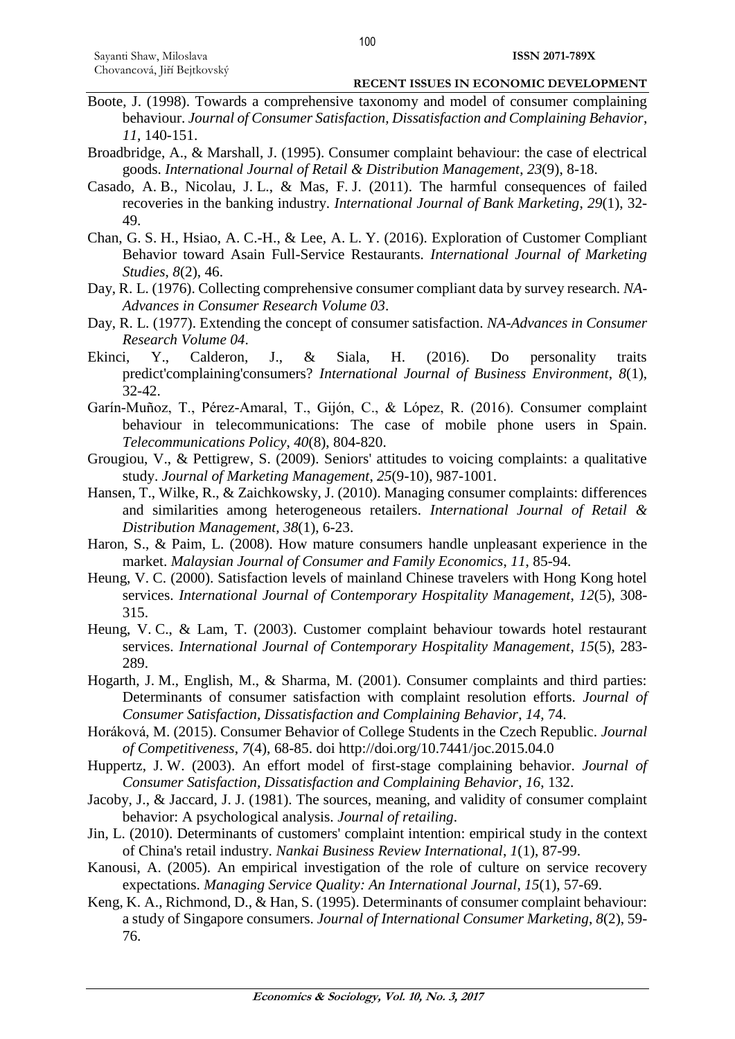- Boote, J. (1998). Towards a comprehensive taxonomy and model of consumer complaining behaviour. *Journal of Consumer Satisfaction, Dissatisfaction and Complaining Behavior*, *11*, 140-151.
- Broadbridge, A., & Marshall, J. (1995). Consumer complaint behaviour: the case of electrical goods. *International Journal of Retail & Distribution Management*, *23*(9), 8-18.
- Casado, A. B., Nicolau, J. L., & Mas, F. J. (2011). The harmful consequences of failed recoveries in the banking industry. *International Journal of Bank Marketing*, *29*(1), 32- 49.
- Chan, G. S. H., Hsiao, A. C.-H., & Lee, A. L. Y. (2016). Exploration of Customer Compliant Behavior toward Asain Full-Service Restaurants. *International Journal of Marketing Studies*, *8*(2), 46.
- Day, R. L. (1976). Collecting comprehensive consumer compliant data by survey research. *NA-Advances in Consumer Research Volume 03*.
- Day, R. L. (1977). Extending the concept of consumer satisfaction. *NA-Advances in Consumer Research Volume 04*.
- Ekinci, Y., Calderon, J., & Siala, H. (2016). Do personality traits predict'complaining'consumers? *International Journal of Business Environment*, *8*(1), 32-42.
- Garín-Muñoz, T., Pérez-Amaral, T., Gijón, C., & López, R. (2016). Consumer complaint behaviour in telecommunications: The case of mobile phone users in Spain. *Telecommunications Policy*, *40*(8), 804-820.
- Grougiou, V., & Pettigrew, S. (2009). Seniors' attitudes to voicing complaints: a qualitative study. *Journal of Marketing Management*, *25*(9-10), 987-1001.
- Hansen, T., Wilke, R., & Zaichkowsky, J. (2010). Managing consumer complaints: differences and similarities among heterogeneous retailers. *International Journal of Retail & Distribution Management*, *38*(1), 6-23.
- Haron, S., & Paim, L. (2008). How mature consumers handle unpleasant experience in the market. *Malaysian Journal of Consumer and Family Economics*, *11*, 85-94.
- Heung, V. C. (2000). Satisfaction levels of mainland Chinese travelers with Hong Kong hotel services. *International Journal of Contemporary Hospitality Management*, *12*(5), 308- 315.
- Heung, V. C., & Lam, T. (2003). Customer complaint behaviour towards hotel restaurant services. *International Journal of Contemporary Hospitality Management*, *15*(5), 283- 289.
- Hogarth, J. M., English, M., & Sharma, M. (2001). Consumer complaints and third parties: Determinants of consumer satisfaction with complaint resolution efforts. *Journal of Consumer Satisfaction, Dissatisfaction and Complaining Behavior*, *14*, 74.
- Horáková, M. (2015). Consumer Behavior of College Students in the Czech Republic. *Journal of Competitiveness*, *7*(4), 68-85. doi http://doi.org/10.7441/joc.2015.04.0
- Huppertz, J. W. (2003). An effort model of first-stage complaining behavior. *Journal of Consumer Satisfaction, Dissatisfaction and Complaining Behavior*, *16*, 132.
- Jacoby, J., & Jaccard, J. J. (1981). The sources, meaning, and validity of consumer complaint behavior: A psychological analysis. *Journal of retailing*.
- Jin, L. (2010). Determinants of customers' complaint intention: empirical study in the context of China's retail industry. *Nankai Business Review International*, *1*(1), 87-99.
- Kanousi, A. (2005). An empirical investigation of the role of culture on service recovery expectations. *Managing Service Quality: An International Journal*, *15*(1), 57-69.
- Keng, K. A., Richmond, D., & Han, S. (1995). Determinants of consumer complaint behaviour: a study of Singapore consumers. *Journal of International Consumer Marketing*, *8*(2), 59- 76.